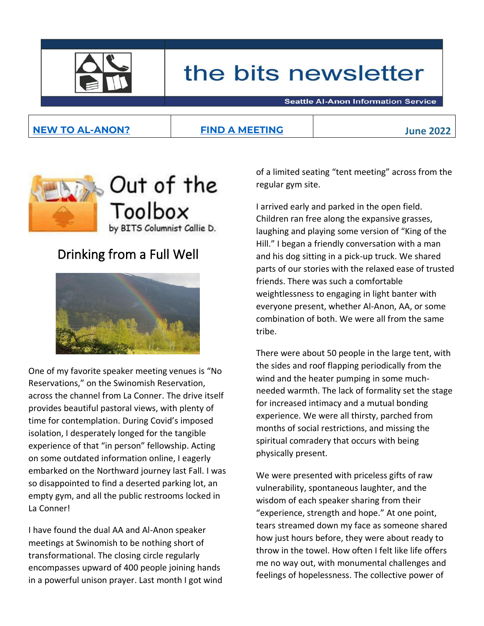

# the bits newsletter

**Seattle Al-Anon Information Service** 

### **[NEW TO AL-ANON?](https://www.seattle-al-anon.org/new-to-al-anon.html) [FIND A MEETING](https://www.seattle-al-anon.org/meetings.html) June 2022**



### Drinking from a Full Well



One of my favorite speaker meeting venues is "No Reservations," on the Swinomish Reservation, across the channel from La Conner. The drive itself provides beautiful pastoral views, with plenty of time for contemplation. During Covid's imposed isolation, I desperately longed for the tangible experience of that "in person" fellowship. Acting on some outdated information online, I eagerly embarked on the Northward journey last Fall. I was so disappointed to find a deserted parking lot, an empty gym, and all the public restrooms locked in La Conner!

I have found the dual AA and Al-Anon speaker meetings at Swinomish to be nothing short of transformational. The closing circle regularly encompasses upward of 400 people joining hands in a powerful unison prayer. Last month I got wind of a limited seating "tent meeting" across from the regular gym site.

I arrived early and parked in the open field. Children ran free along the expansive grasses, laughing and playing some version of "King of the Hill." I began a friendly conversation with a man and his dog sitting in a pick-up truck. We shared parts of our stories with the relaxed ease of trusted friends. There was such a comfortable weightlessness to engaging in light banter with everyone present, whether Al-Anon, AA, or some combination of both. We were all from the same tribe.

There were about 50 people in the large tent, with the sides and roof flapping periodically from the wind and the heater pumping in some muchneeded warmth. The lack of formality set the stage for increased intimacy and a mutual bonding experience. We were all thirsty, parched from months of social restrictions, and missing the spiritual comradery that occurs with being physically present.

We were presented with priceless gifts of raw vulnerability, spontaneous laughter, and the wisdom of each speaker sharing from their "experience, strength and hope." At one point, tears streamed down my face as someone shared how just hours before, they were about ready to throw in the towel. How often I felt like life offers me no way out, with monumental challenges and feelings of hopelessness. The collective power of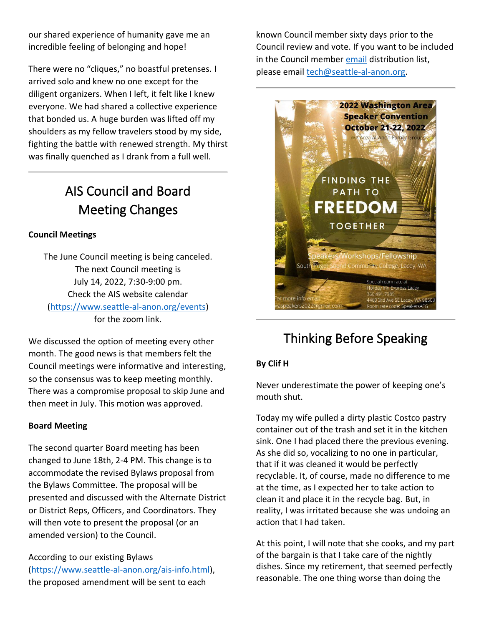our shared experience of humanity gave me an incredible feeling of belonging and hope!

There were no "cliques," no boastful pretenses. I arrived solo and knew no one except for the diligent organizers. When I left, it felt like I knew everyone. We had shared a collective experience that bonded us. A huge burden was lifted off my shoulders as my fellow travelers stood by my side, fighting the battle with renewed strength. My thirst was finally quenched as I drank from a full well.

## AIS Council and Board Meeting Changes

#### **Council Meetings**

The June Council meeting is being canceled. The next Council meeting is July 14, 2022, 7:30-9:00 pm. Check the AIS website calendar [\(https://www.seattle-al-anon.org/events\)](https://www.seattle-al-anon.org/events) for the zoom link.

We discussed the option of meeting every other month. The good news is that members felt the Council meetings were informative and interesting, so the consensus was to keep meeting monthly. There was a compromise proposal to skip June and then meet in July. This motion was approved.

#### **Board Meeting**

The second quarter Board meeting has been changed to June 18th, 2-4 PM. This change is to accommodate the revised Bylaws proposal from the Bylaws Committee. The proposal will be presented and discussed with the Alternate District or District Reps, Officers, and Coordinators. They will then vote to present the proposal (or an amended version) to the Council.

According to our existing Bylaws [\(https://www.seattle-al-anon.org/ais-info.html\)](https://www.seattle-al-anon.org/ais-info.html), the proposed amendment will be sent to each

known Council member sixty days prior to the Council review and vote. If you want to be included in the Council member [email](https://www.seattle-al-anon.org/uploads/1/0/9/2/109230843/wasc-may-bits_1.jpg) distribution list, please emai[l tech@seattle-al-anon.org.](mailto:tech@seattle-al-anon.org)



## Thinking Before Speaking

#### **By Clif H**

Never underestimate the power of keeping one's mouth shut.

Today my wife pulled a dirty plastic Costco pastry container out of the trash and set it in the kitchen sink. One I had placed there the previous evening. As she did so, vocalizing to no one in particular, that if it was cleaned it would be perfectly recyclable. It, of course, made no difference to me at the time, as I expected her to take action to clean it and place it in the recycle bag. But, in reality, I was irritated because she was undoing an action that I had taken.

At this point, I will note that she cooks, and my part of the bargain is that I take care of the nightly dishes. Since my retirement, that seemed perfectly reasonable. The one thing worse than doing the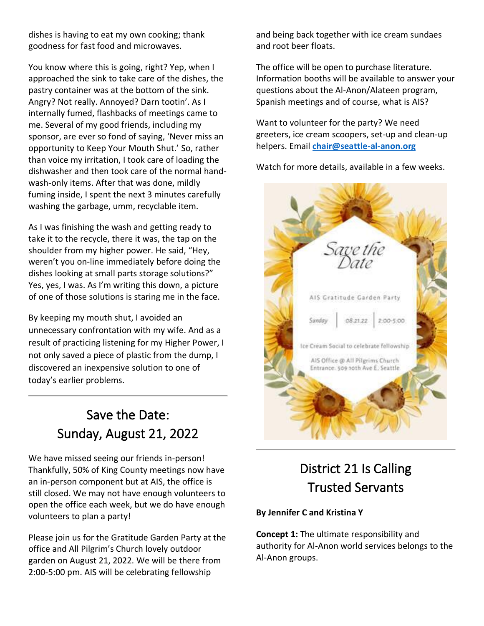dishes is having to eat my own cooking; thank goodness for fast food and microwaves.

You know where this is going, right? Yep, when I approached the sink to take care of the dishes, the pastry container was at the bottom of the sink. Angry? Not really. Annoyed? Darn tootin'. As I internally fumed, flashbacks of meetings came to me. Several of my good friends, including my sponsor, are ever so fond of saying, 'Never miss an opportunity to Keep Your Mouth Shut.' So, rather than voice my irritation, I took care of loading the dishwasher and then took care of the normal handwash-only items. After that was done, mildly fuming inside, I spent the next 3 minutes carefully washing the garbage, umm, recyclable item.

As I was finishing the wash and getting ready to take it to the recycle, there it was, the tap on the shoulder from my higher power. He said, "Hey, weren't you on-line immediately before doing the dishes looking at small parts storage solutions?" Yes, yes, I was. As I'm writing this down, a picture of one of those solutions is staring me in the face.

By keeping my mouth shut, I avoided an unnecessary confrontation with my wife. And as a result of practicing listening for my Higher Power, I not only saved a piece of plastic from the dump, I discovered an inexpensive solution to one of today's earlier problems.

## Save the Date: Sunday, August 21, 2022

We have missed seeing our friends in-person! Thankfully, 50% of King County meetings now have an in-person component but at AIS, the office is still closed. We may not have enough volunteers to open the office each week, but we do have enough volunteers to plan a party!

Please join us for the Gratitude Garden Party at the office and All Pilgrim's Church lovely outdoor garden on August 21, 2022. We will be there from 2:00-5:00 pm. AIS will be celebrating fellowship

and being back together with ice cream sundaes and root beer floats.

The office will be open to purchase literature. Information booths will be available to answer your questions about the Al-Anon/Alateen program, Spanish meetings and of course, what is AIS?

Want to volunteer for the party? We need greeters, ice cream scoopers, set-up and clean-up helpers. Email **[chair@seattle-al-anon.org](mailto:chair@seattle-al-anon.org)**

Watch for more details, available in a few weeks.



## District 21 Is Calling Trusted Servants

#### **By Jennifer C and Kristina Y**

**Concept 1:** The ultimate responsibility and authority for Al-Anon world services belongs to the Al-Anon groups.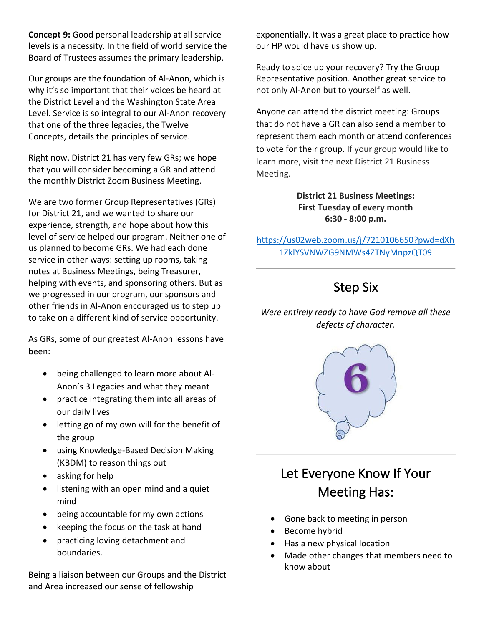**Concept 9:** Good personal leadership at all service levels is a necessity. In the field of world service the Board of Trustees assumes the primary leadership.

Our groups are the foundation of Al-Anon, which is why it's so important that their voices be heard at the District Level and the Washington State Area Level. Service is so integral to our Al-Anon recovery that one of the three legacies, the Twelve Concepts, details the principles of service.

Right now, District 21 has very few GRs; we hope that you will consider becoming a GR and attend the monthly District Zoom Business Meeting.

We are two former Group Representatives (GRs) for District 21, and we wanted to share our experience, strength, and hope about how this level of service helped our program. Neither one of us planned to become GRs. We had each done service in other ways: setting up rooms, taking notes at Business Meetings, being Treasurer, helping with events, and sponsoring others. But as we progressed in our program, our sponsors and other friends in Al-Anon encouraged us to step up to take on a different kind of service opportunity.

As GRs, some of our greatest Al-Anon lessons have been:

- being challenged to learn more about Al-Anon's 3 Legacies and what they meant
- practice integrating them into all areas of our daily lives
- letting go of my own will for the benefit of the group
- using Knowledge-Based Decision Making (KBDM) to reason things out
- asking for help
- listening with an open mind and a quiet mind
- being accountable for my own actions
- keeping the focus on the task at hand
- practicing loving detachment and boundaries.

Being a liaison between our Groups and the District and Area increased our sense of fellowship

exponentially. It was a great place to practice how our HP would have us show up.

Ready to spice up your recovery? Try the Group Representative position. Another great service to not only Al-Anon but to yourself as well.

Anyone can attend the district meeting: Groups that do not have a GR can also send a member to represent them each month or attend conferences to vote for their group. If your group would like to learn more, visit the next District 21 Business Meeting.

> **District 21 Business Meetings: First Tuesday of every month 6:30 - 8:00 p.m.**

[https://us02web.zoom.us/j/7210106650?pwd=dXh](https://us02web.zoom.us/j/7210106650?pwd=dXh1ZklYSVNWZG9NMWs4ZTNyMnpzQT09) [1ZklYSVNWZG9NMWs4ZTNyMnpzQT09](https://us02web.zoom.us/j/7210106650?pwd=dXh1ZklYSVNWZG9NMWs4ZTNyMnpzQT09)

## Step Six

### *Were entirely ready to have God remove all these defects of character.*



## Let Everyone Know If Your Meeting Has:

- Gone back to meeting in person
- Become hybrid
- Has a new physical location
- Made other changes that members need to know about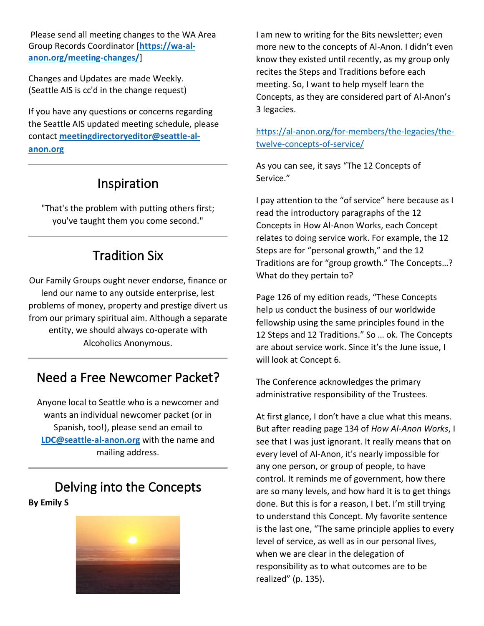Please send all meeting changes to the WA Area Group Records Coordinator [**[https://wa-al](https://wa-al-anon.org/meeting-changes/)[anon.org/meeting-changes/](https://wa-al-anon.org/meeting-changes/)**]

Changes and Updates are made Weekly. (Seattle AIS is cc'd in the change request)

If you have any questions or concerns regarding the Seattle AIS updated meeting schedule, please contact **[meetingdirectoryeditor@seattle-al](mailto:meetingdirectoryeditor@seattle-al-anon.org)[anon.org](mailto:meetingdirectoryeditor@seattle-al-anon.org)**

### Inspiration

"That's the problem with putting others first; you've taught them you come second."

### Tradition Six

Our Family Groups ought never endorse, finance or lend our name to any outside enterprise, lest problems of money, property and prestige divert us from our primary spiritual aim. Although a separate entity, we should always co‑operate with Alcoholics Anonymous.

### Need a Free Newcomer Packet?

Anyone local to Seattle who is a newcomer and wants an individual newcomer packet (or in Spanish, too!), please send an email to **[LDC@seattle-al-anon.org](mailto:LDC@seattle-al-anon.org)** with the name and mailing address.

### Delving into the Concepts **By Emily S**



I am new to writing for the Bits newsletter; even more new to the concepts of Al-Anon. I didn't even know they existed until recently, as my group only recites the Steps and Traditions before each meeting. So, I want to help myself learn the Concepts, as they are considered part of Al-Anon's 3 legacies.

[https://al-anon.org/for-members/the-legacies/the](https://al-anon.org/for-members/the-legacies/the-twelve-concepts-of-service/)[twelve-concepts-of-service/](https://al-anon.org/for-members/the-legacies/the-twelve-concepts-of-service/)

As you can see, it says "The 12 Concepts of Service."

I pay attention to the "of service" here because as I read the introductory paragraphs of the 12 Concepts in How Al-Anon Works, each Concept relates to doing service work. For example, the 12 Steps are for "personal growth," and the 12 Traditions are for "group growth." The Concepts…? What do they pertain to?

Page 126 of my edition reads, "These Concepts help us conduct the business of our worldwide fellowship using the same principles found in the 12 Steps and 12 Traditions." So … ok. The Concepts are about service work. Since it's the June issue, I will look at Concept 6.

The Conference acknowledges the primary administrative responsibility of the Trustees.

At first glance, I don't have a clue what this means. But after reading page 134 of *How Al-Anon Works*, I see that I was just ignorant. It really means that on every level of Al-Anon, it's nearly impossible for any one person, or group of people, to have control. It reminds me of government, how there are so many levels, and how hard it is to get things done. But this is for a reason, I bet. I'm still trying to understand this Concept. My favorite sentence is the last one, "The same principle applies to every level of service, as well as in our personal lives, when we are clear in the delegation of responsibility as to what outcomes are to be realized" (p. 135).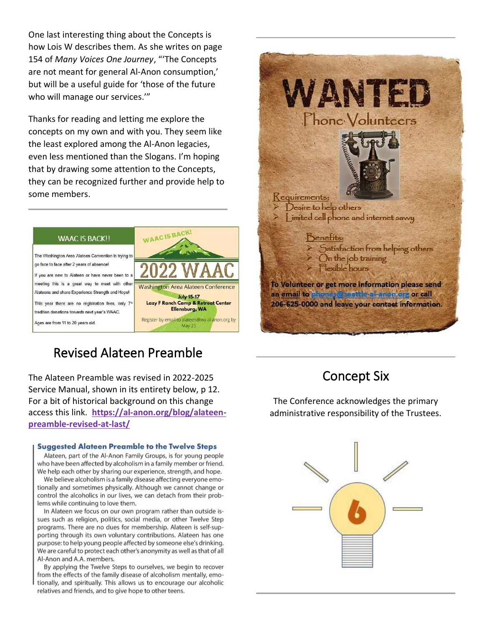One last interesting thing about the Concepts is how Lois W describes them. As she writes on page 154 of *Many Voices One Journey*, "'The Concepts are not meant for general Al-Anon consumption,' but will be a useful guide for 'those of the future who will manage our services.'"

Thanks for reading and letting me explore the concepts on my own and with you. They seem like the least explored among the Al-Anon legacies, even less mentioned than the Slogans. I'm hoping that by drawing some attention to the Concepts, they can be recognized further and provide help to some members.



### Revised Alateen Preamble

The Alateen Preamble was revised in 2022-2025 Service Manual, shown in its entirety below, p 12. For a bit of historical background on this change access this link. **https:/[/al-anon.org/blog/alateen](https://al-anon.org/blog/alateen-preamble-revised-at-last/)[preamble-revised-at-last/](https://al-anon.org/blog/alateen-preamble-revised-at-last/)**

#### **Suggested Alateen Preamble to the Twelve Steps**

Alateen, part of the Al-Anon Family Groups, is for young people who have been affected by alcoholism in a family member or friend. We help each other by sharing our experience, strength, and hope.

We believe alcoholism is a family disease affecting everyone emotionally and sometimes physically. Although we cannot change or control the alcoholics in our lives, we can detach from their problems while continuing to love them.

In Alateen we focus on our own program rather than outside issues such as religion, politics, social media, or other Twelve Step programs. There are no dues for membership. Alateen is self-supporting through its own voluntary contributions. Alateen has one purpose: to help young people affected by someone else's drinking. We are careful to protect each other's anonymity as well as that of all Al-Anon and A.A. members.

By applying the Twelve Steps to ourselves, we begin to recover from the effects of the family disease of alcoholism mentally, emotionally, and spiritually. This allows us to encourage our alcoholic relatives and friends, and to give hope to other teens.



### Concept Six

The Conference acknowledges the primary administrative responsibility of the Trustees.

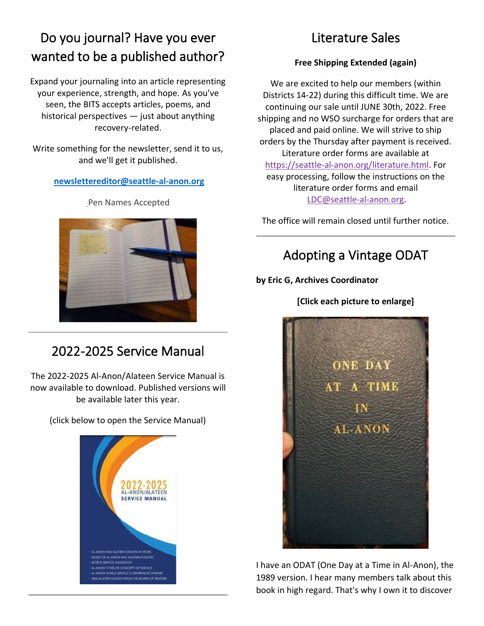## Do you journal? Have you ever wanted to be a published author?

Expand your journaling into an article representing your experience, strength, and hope. As you've seen, the BITS accepts articles, poems, and historical perspectives — just about anything recovery-related.

Write something for the newsletter, send it to us, and we'll get it published.

#### **[newslettereditor@seattle-al-anon.org](mailto:newslettereditor@seattle-al-anon.org)**



[P](mailto:newslettereditor@seattle-al-anon.org)en Names Accepted

## 2022-2025 Service Manual

The 2022-2025 Al-Anon/Alateen Service Manual is now available to download. Published versions will be available later this year.

(click below to open the Service Manual)



### Literature Sales

### **Free Shipping Extended (again)**

We are excited to help our members (within Districts 14-22) during this difficult time. We are continuing our sale until JUNE 30th, 2022. Free shipping and no WSO surcharge for orders that are placed and paid online. We will strive to ship orders by the Thursday after payment is received. Literature order forms are available at [https://seattle-al-anon.org/literature.html.](https://www.seattle-al-anon.org/literature.html) For easy processing, follow the instructions on the literature order forms and email [LDC@seattle-al-anon.org.](mailto:LDC@seattle-al-anon.org)

The office will remain closed until further notice.

### Adopting a Vintage ODAT

### **by Eric G, Archives Coordinator**

### **[Click each picture to enlarge]**



I have an ODAT (One Day at a Time in Al-Anon), the 1989 version. I hear many members talk about this book in high regard. That's why I own it to discover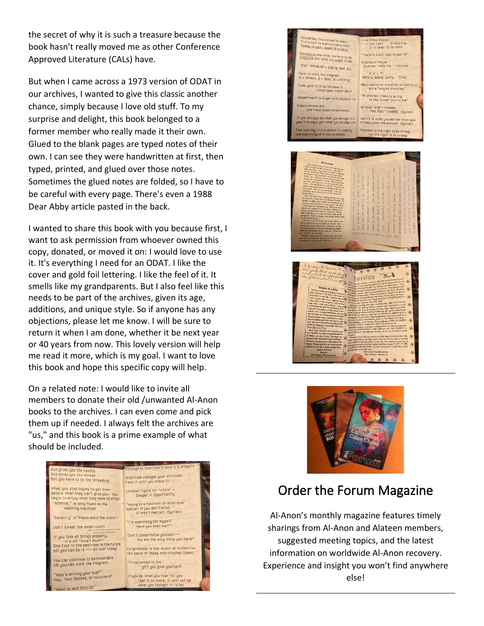the secret of why it is such a treasure because the book hasn't really moved me as other Conference Approved Literature (CALs) have.

But when I came across a 1973 version of ODAT in our archives, I wanted to give this classic another chance, simply because I love old stuff. To my surprise and delight, this book belonged to a former member who really made it their own. Glued to the blank pages are typed notes of their own. I can see they were handwritten at first, then typed, printed, and glued over those notes. Sometimes the glued notes are folded, so I have to be careful with every page. There's even a 1988 Dear Abby article pasted in the back.

I wanted to share this book with you because first, I want to ask permission from whoever owned this copy, donated, or moved it on: I would love to use it. It's everything I need for an ODAT. I like the cover and gold foil lettering. I like the feel of it. It smells like my grandparents. But I also feel like this needs to be part of the archives, given its age, additions, and unique style. So if anyone has any objections, please let me know. I will be sure to return it when I am done, whether it be next year or 40 years from now. This lovely version will help me read it more, which is my goal. I want to love this book and hope this specific copy will help.

On a related note: I would like to invite all members to donate their old /unwanted Al-Anon books to the archives. I can even come and pick them up if needed. I always felt the archives are "us," and this book is a prime example of what should be included.











### [Order the Forum Magazine](https://al-anon.org/pdf/ForumOrder.pdf)

Al-Anon's monthly magazine features timely sharings from Al-Anon and Alateen members, suggested meeting topics, and the latest information on worldwide Al-Anon recovery. Experience and insight you won't find anywhere else!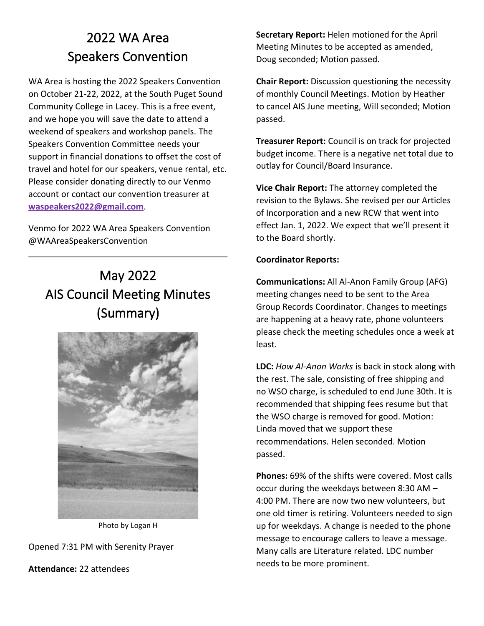## 2022 WA Area Speakers Convention

WA Area is hosting the 2022 Speakers Convention on October 21-22, 2022, at the South Puget Sound Community College in Lacey. This is a free event, and we hope you will save the date to attend a weekend of speakers and workshop panels. The Speakers Convention Committee needs your support in financial donations to offset the cost of travel and hotel for our speakers, venue rental, etc. Please consider donating directly to our Venmo account or contact our convention treasurer at **[waspeakers2022@gmail.com](mailto:waspeakers2022@gmail.com)**.

Venmo for 2022 WA Area Speakers Convention @WAAreaSpeakersConvention

## May 2022 AIS Council Meeting Minutes (Summary)



Photo by Logan H

Opened 7:31 PM with Serenity Prayer

**Attendance:** 22 attendees

**Secretary Report:** Helen motioned for the April Meeting Minutes to be accepted as amended, Doug seconded; Motion passed.

**Chair Report:** Discussion questioning the necessity of monthly Council Meetings. Motion by Heather to cancel AIS June meeting, Will seconded; Motion passed.

**Treasurer Report:** Council is on track for projected budget income. There is a negative net total due to outlay for Council/Board Insurance.

**Vice Chair Report:** The attorney completed the revision to the Bylaws. She revised per our Articles of Incorporation and a new RCW that went into effect Jan. 1, 2022. We expect that we'll present it to the Board shortly.

#### **Coordinator Reports:**

**Communications:** All Al-Anon Family Group (AFG) meeting changes need to be sent to the Area Group Records Coordinator. Changes to meetings are happening at a heavy rate, phone volunteers please check the meeting schedules once a week at least.

**LDC:** *How Al-Anon Works* is back in stock along with the rest. The sale, consisting of free shipping and no WSO charge, is scheduled to end June 30th. It is recommended that shipping fees resume but that the WSO charge is removed for good. Motion: Linda moved that we support these recommendations. Helen seconded. Motion passed.

**Phones:** 69% of the shifts were covered. Most calls occur during the weekdays between 8:30 AM – 4:00 PM. There are now two new volunteers, but one old timer is retiring. Volunteers needed to sign up for weekdays. A change is needed to the phone message to encourage callers to leave a message. Many calls are Literature related. LDC number needs to be more prominent.